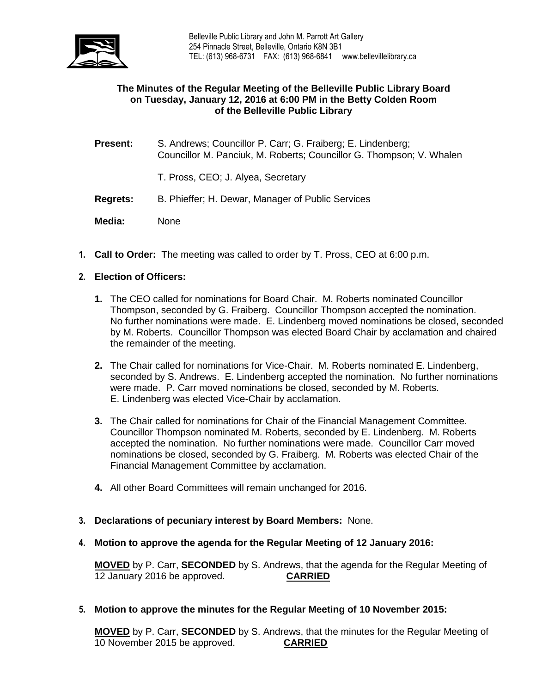

# **The Minutes of the Regular Meeting of the Belleville Public Library Board on Tuesday, January 12, 2016 at 6:00 PM in the Betty Colden Room of the Belleville Public Library**

- **Present:** S. Andrews; Councillor P. Carr; G. Fraiberg; E. Lindenberg; Councillor M. Panciuk, M. Roberts; Councillor G. Thompson; V. Whalen
	- T. Pross, CEO; J. Alyea, Secretary
- **Regrets:** B. Phieffer; H. Dewar, Manager of Public Services
- **Media:** None
- **1. Call to Order:** The meeting was called to order by T. Pross, CEO at 6:00 p.m.

# **2. Election of Officers:**

- **1.** The CEO called for nominations for Board Chair. M. Roberts nominated Councillor Thompson, seconded by G. Fraiberg. Councillor Thompson accepted the nomination. No further nominations were made. E. Lindenberg moved nominations be closed, seconded by M. Roberts.Councillor Thompson was elected Board Chair by acclamation and chaired the remainder of the meeting.
- **2.** The Chair called for nominations for Vice-Chair. M. Roberts nominated E. Lindenberg, seconded by S. Andrews. E. Lindenberg accepted the nomination. No further nominations were made. P. Carr moved nominations be closed, seconded by M. Roberts. E. Lindenberg was elected Vice-Chair by acclamation.
- **3.** The Chair called for nominations for Chair of the Financial Management Committee. Councillor Thompson nominated M. Roberts, seconded by E. Lindenberg. M. Roberts accepted the nomination. No further nominations were made. Councillor Carr moved nominations be closed, seconded by G. Fraiberg. M. Roberts was elected Chair of the Financial Management Committee by acclamation.
- **4.** All other Board Committees will remain unchanged for 2016.
- **3. Declarations of pecuniary interest by Board Members:** None.
- **4. Motion to approve the agenda for the Regular Meeting of 12 January 2016:**

**MOVED** by P. Carr, **SECONDED** by S. Andrews, that the agenda for the Regular Meeting of 12 January 2016 be approved. **CARRIED**

#### **5. Motion to approve the minutes for the Regular Meeting of 10 November 2015:**

**MOVED** by P. Carr, **SECONDED** by S. Andrews, that the minutes for the Regular Meeting of 10 November 2015 be approved. **CARRIED**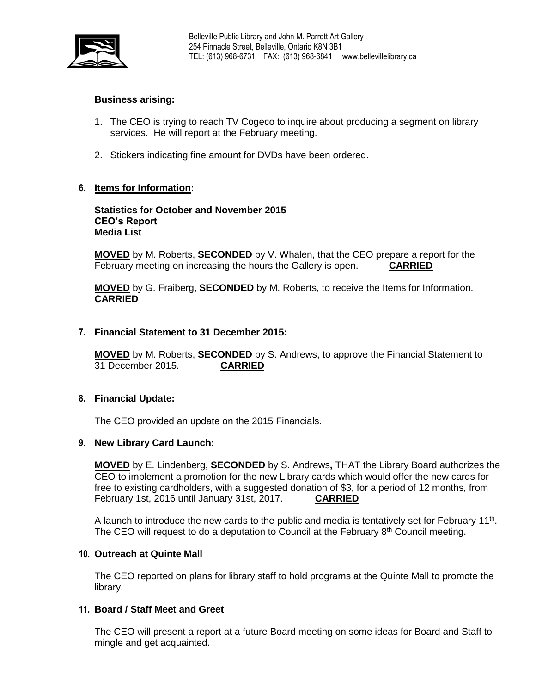

# **Business arising:**

- 1. The CEO is trying to reach TV Cogeco to inquire about producing a segment on library services. He will report at the February meeting.
- 2. Stickers indicating fine amount for DVDs have been ordered.

# **6. Items for Information:**

**Statistics for October and November 2015 CEO's Report Media List**

**MOVED** by M. Roberts, **SECONDED** by V. Whalen, that the CEO prepare a report for the February meeting on increasing the hours the Gallery is open. **CARRIED**

**MOVED** by G. Fraiberg, **SECONDED** by M. Roberts, to receive the Items for Information. **CARRIED**

## **7. Financial Statement to 31 December 2015:**

**MOVED** by M. Roberts, **SECONDED** by S. Andrews, to approve the Financial Statement to 31 December 2015. **CARRIED**

#### **8. Financial Update:**

The CEO provided an update on the 2015 Financials.

#### **9. New Library Card Launch:**

**MOVED** by E. Lindenberg, **SECONDED** by S. Andrews**,** THAT the Library Board authorizes the CEO to implement a promotion for the new Library cards which would offer the new cards for free to existing cardholders, with a suggested donation of \$3, for a period of 12 months, from February 1st, 2016 until January 31st, 2017. **CARRIED**

A launch to introduce the new cards to the public and media is tentatively set for February  $11<sup>th</sup>$ . The CEO will request to do a deputation to Council at the February  $8<sup>th</sup>$  Council meeting.

## **10. Outreach at Quinte Mall**

The CEO reported on plans for library staff to hold programs at the Quinte Mall to promote the library.

#### **11. Board / Staff Meet and Greet**

The CEO will present a report at a future Board meeting on some ideas for Board and Staff to mingle and get acquainted.